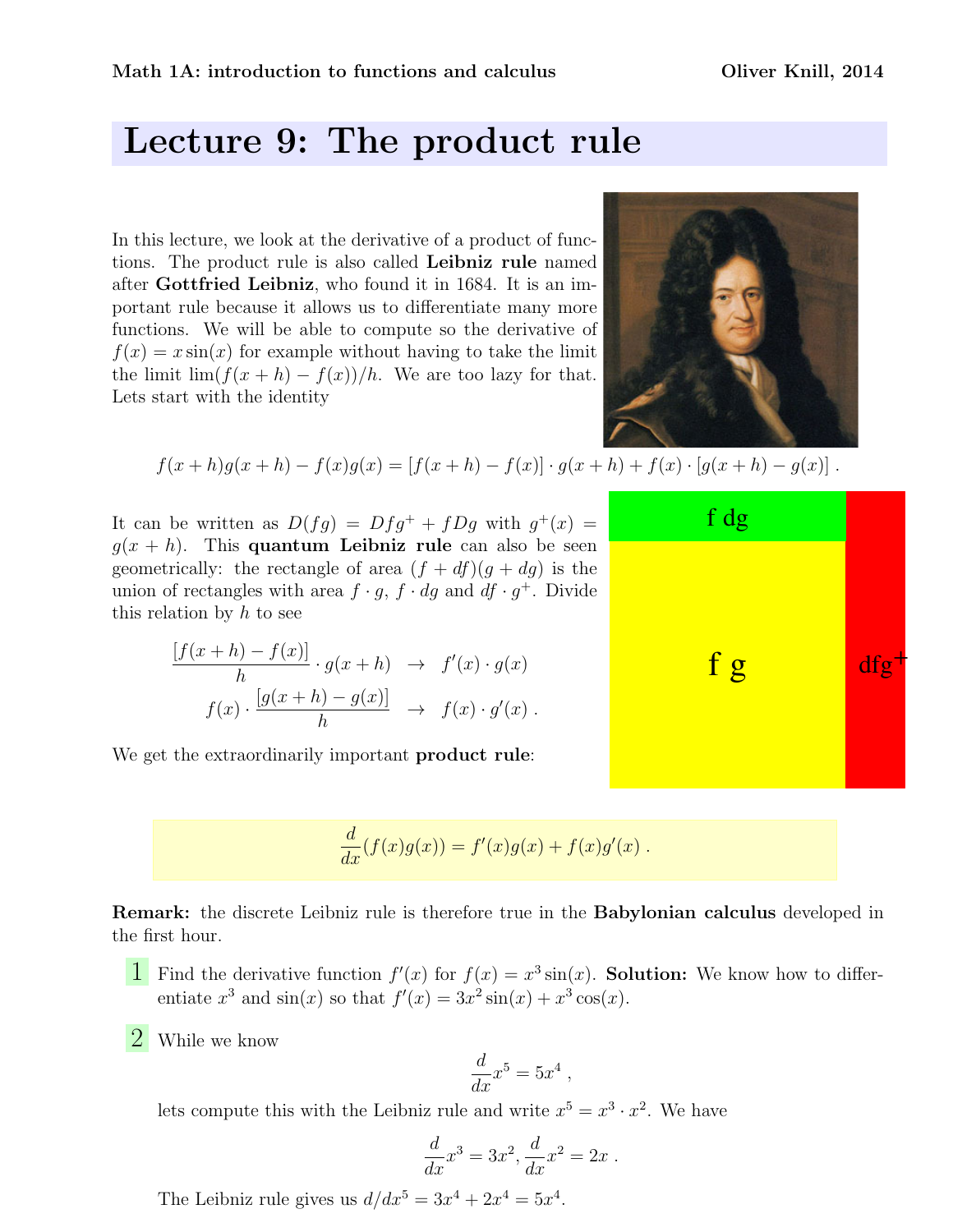## Lecture 9: The product rule

In this lecture, we look at the derivative of a product of functions. The product rule is also called Leibniz rule named after Gottfried Leibniz, who found it in 1684. It is an important rule because it allows us to differentiate many more functions. We will be able to compute so the derivative of  $f(x) = x \sin(x)$  for example without having to take the limit the limit lim $(f(x+h) - f(x))/h$ . We are too lazy for that. Lets start with the identity



$$
f(x+h)g(x+h) - f(x)g(x) = [f(x+h) - f(x)] \cdot g(x+h) + f(x) \cdot [g(x+h) - g(x)].
$$

It can be written as  $D(fg) = Dfg^+ + fDg$  with  $g^+(x) =$  $g(x+h)$ . This quantum Leibniz rule can also be seen geometrically: the rectangle of area  $(f + df)(g + dg)$  is the union of rectangles with area  $f \cdot g$ ,  $f \cdot dg$  and  $df \cdot g^+$ . Divide this relation by  $h$  to see

$$
\frac{[f(x+h) - f(x)]}{h} \cdot g(x+h) \rightarrow f'(x) \cdot g(x)
$$

$$
f(x) \cdot \frac{[g(x+h) - g(x)]}{h} \rightarrow f(x) \cdot g'(x).
$$

We get the extraordinarily important **product rule**:

$$
\frac{d}{dx}(f(x)g(x)) = f'(x)g(x) + f(x)g'(x) .
$$

Remark: the discrete Leibniz rule is therefore true in the Babylonian calculus developed in the first hour.

- **1** Find the derivative function  $f'(x)$  for  $f(x) = x^3 \sin(x)$ . **Solution:** We know how to differentiate  $x^3$  and  $sin(x)$  so that  $f'(x) = 3x^2 sin(x) + x^3 cos(x)$ .
- 2 While we know

$$
\frac{d}{dx}x^5 = 5x^4
$$

,

lets compute this with the Leibniz rule and write  $x^5 = x^3 \cdot x^2$ . We have

$$
\frac{d}{dx}x^3 = 3x^2, \frac{d}{dx}x^2 = 2x.
$$

The Leibniz rule gives us  $d/dx^5 = 3x^4 + 2x^4 = 5x^4$ .

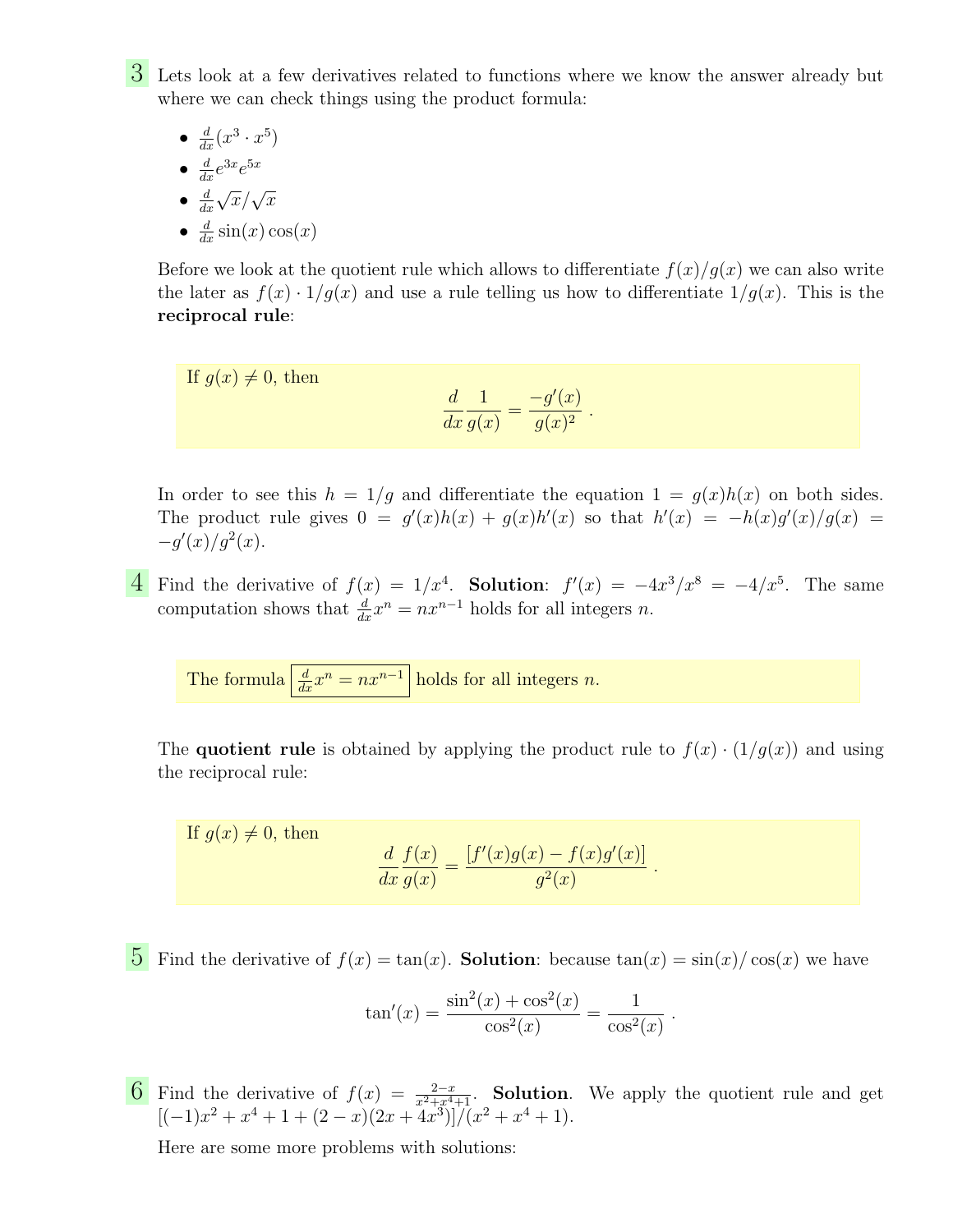3 Lets look at a few derivatives related to functions where we know the answer already but where we can check things using the product formula:

- $\frac{d}{dx}(x^3 \cdot x^5)$
- $\frac{d}{dx}e^{3x}e^{5x}$
- $\bullet$   $\frac{d}{da}$  $dx$  $\sqrt{x}/\sqrt{x}$
- $\frac{d}{dx}$  sin(x) cos(x)

Before we look at the quotient rule which allows to differentiate  $f(x)/g(x)$  we can also write the later as  $f(x) \cdot 1/g(x)$  and use a rule telling us how to differentiate  $1/g(x)$ . This is the reciprocal rule:

If 
$$
g(x) \neq 0
$$
, then  

$$
\frac{d}{dx} \frac{1}{g(x)} = \frac{-g'(x)}{g(x)^2}.
$$

In order to see this  $h = 1/g$  and differentiate the equation  $1 = g(x)h(x)$  on both sides. The product rule gives  $0 = g'(x)h(x) + g(x)h'(x)$  so that  $h'(x) = -h(x)g'(x)/g(x)$  $-g'(x)/g^2(x)$ .

4 Find the derivative of  $f(x) = 1/x^4$ . Solution:  $f'(x) = -4x^3/x^8 = -4/x^5$ . The same computation shows that  $\frac{d}{dx}x^n = nx^{n-1}$  holds for all integers n.

The formula  $\left| \frac{d}{dx} x^n = n x^{n-1} \right|$  holds for all integers *n*.

The **quotient rule** is obtained by applying the product rule to  $f(x) \cdot (1/g(x))$  and using the reciprocal rule:

If  $q(x) \neq 0$ , then d  $dx$  $f(x)$  $g(x)$ =  $[f'(x)g(x) - f(x)g'(x)]$  $g^2(x)$ .

5 Find the derivative of  $f(x) = \tan(x)$ . Solution: because  $\tan(x) = \sin(x)/\cos(x)$  we have

$$
\tan'(x) = \frac{\sin^2(x) + \cos^2(x)}{\cos^2(x)} = \frac{1}{\cos^2(x)}.
$$

6 Find the derivative of  $f(x) = \frac{2-x}{x^2+x^4+1}$ . Solution. We apply the quotient rule and get  $[(-1)x^2 + x^4 + 1 + (2 - x)(2x + 4x^3)]/(x^2 + x^4 + 1).$ 

Here are some more problems with solutions: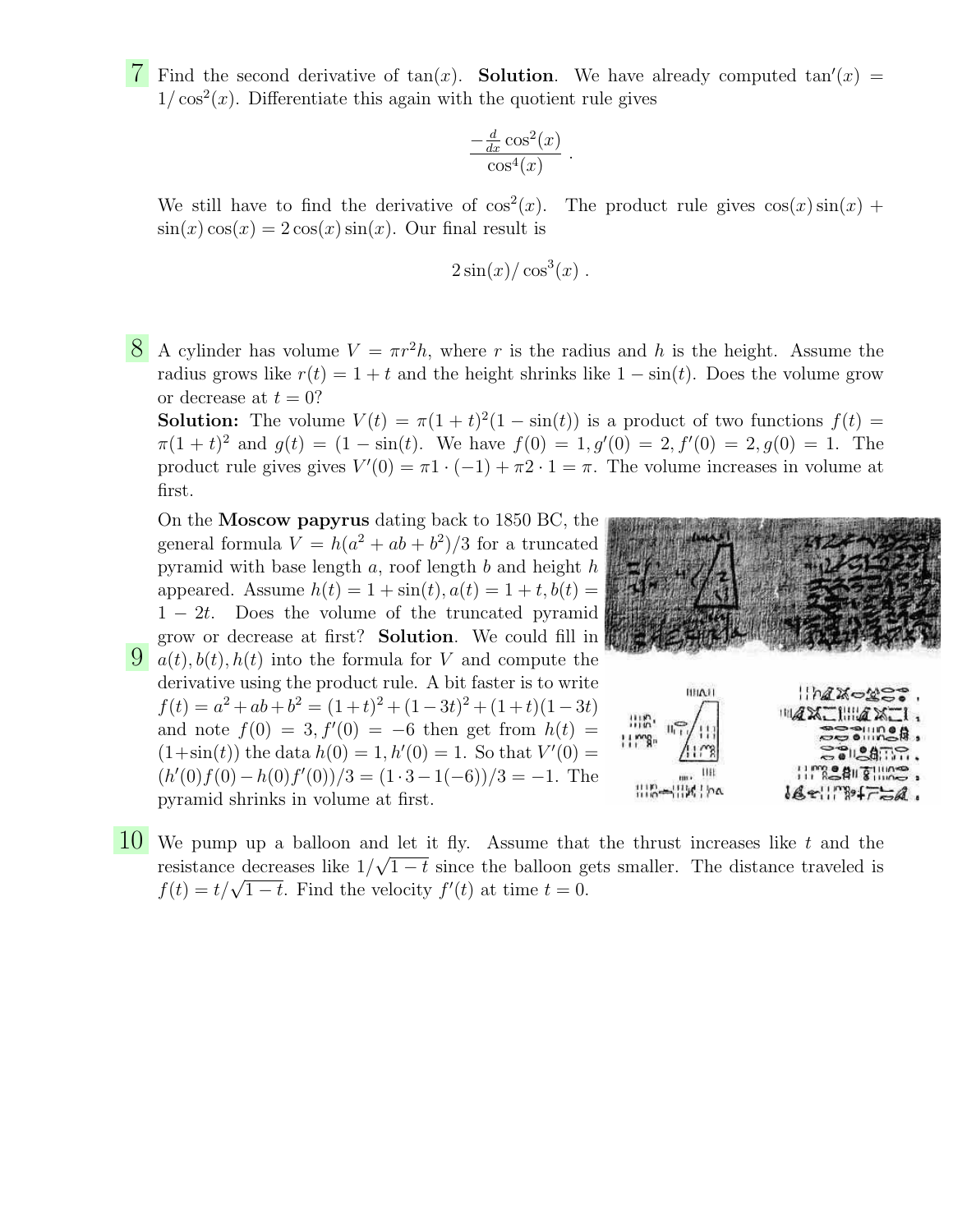T Find the second derivative of  $tan(x)$ . Solution. We have already computed  $tan'(x)$  =  $1/\cos^2(x)$ . Differentiate this again with the quotient rule gives

$$
\frac{-\frac{d}{dx}\cos^2(x)}{\cos^4(x)}.
$$

We still have to find the derivative of  $\cos^2(x)$ . The product rule gives  $\cos(x)\sin(x)$  +  $\sin(x)\cos(x) = 2\cos(x)\sin(x)$ . Our final result is

$$
2\sin(x)/\cos^3(x).
$$

8 A cylinder has volume  $V = \pi r^2 h$ , where r is the radius and h is the height. Assume the radius grows like  $r(t) = 1 + t$  and the height shrinks like  $1 - \sin(t)$ . Does the volume grow or decrease at  $t = 0$ ?

**Solution:** The volume  $V(t) = \pi(1+t)^2(1-\sin(t))$  is a product of two functions  $f(t) =$  $\pi(1+t)^2$  and  $g(t) = (1-\sin(t))$ . We have  $f(0) = 1, g'(0) = 2, f'(0) = 2, g(0) = 1$ . The product rule gives gives  $V'(0) = \pi 1 \cdot (-1) + \pi 2 \cdot 1 = \pi$ . The volume increases in volume at first.

 $\overline{9}$   $\alpha(t)$ ,  $b(t)$ ,  $h(t)$  into the formula for V and compute the On the Moscow papyrus dating back to 1850 BC, the general formula  $V = h(a^2 + ab + b^2)/3$  for a truncated pyramid with base length  $a$ , roof length  $b$  and height  $h$ appeared. Assume  $h(t) = 1 + \sin(t)$ ,  $a(t) = 1 + t$ ,  $b(t) =$  $1 - 2t$ . Does the volume of the truncated pyramid grow or decrease at first? Solution. We could fill in derivative using the product rule. A bit faster is to write  $f(t) = a^2 + ab + b^2 = (1+t)^2 + (1-3t)^2 + (1+t)(1-3t)$ and note  $f(0) = 3, f'(0) = -6$  then get from  $h(t) =$  $(1+\sin(t))$  the data  $h(0) = 1$ ,  $h'(0) = 1$ . So that  $V'(0) =$  $(h'(0) f(0) - h(0) f'(0))/3 = (1 \cdot 3 - 1(-6))/3 = -1.$  The pyramid shrinks in volume at first.



10 We pump up a balloon and let it fly. Assume that the thrust increases like t and the resistance decreases like  $1/\sqrt{1-t}$  since the balloon gets smaller. The distance traveled is f(t) =  $t/\sqrt{1-t}$ . Find the velocity  $f'(t)$  at time  $t = 0$ .